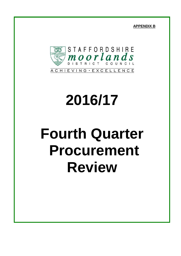**APPENDIX B**



# **2016/17**

# **Fourth Quarter Procurement Review**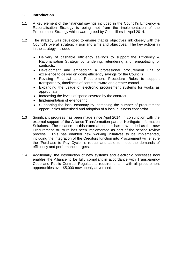### **1. Introduction**

- 1.1 A key element of the financial savings included in the Council's Efficiency & Rationalisation Strategy is being met from the implementation of the Procurement Strategy which was agreed by Councillors in April 2014.
- 1.2 The strategy was developed to ensure that its objectives link closely with the Council's overall strategic vision and aims and objectives. The key actions in in the strategy included:
	- Delivery of cashable efficiency savings to support the Efficiency & Rationalisation Strategy by tendering, retendering and renegotiating of contracts.
	- Development and embedding a professional procurement unit of excellence to deliver on going efficiency savings for the Councils
	- Revising Financial and Procurement Procedure Rules to support transparency, timeliness of contract award and greater control
	- Expanding the usage of electronic procurement systems for works as appropriate
	- Increasing the levels of spend covered by the contract
	- Implementation of e-tendering
	- Supporting the local economy by increasing the number of procurement opportunities advertised and adoption of a local business concordat
- 1.3 Significant progress has been made since April 2014, in conjunction with the external support of the Alliance Transformation partner Northgate Information Solutions. The reliance on this external support has now ended as the new Procurement structure has been implemented as part of the service review process. This has enabled new working initiatives to be implemented, including the integration of the Creditors function into Procurement will ensure the 'Purchase to Pay Cycle' is robust and able to meet the demands of efficiency and performance targets.
- 1.4 Additionally, the introduction of new systems and electronic processes now enables the Alliance to be fully compliant in accordance with Transparency Code and Public Contract Regulations requirements – with all procurement opportunities over £5,000 now openly advertised.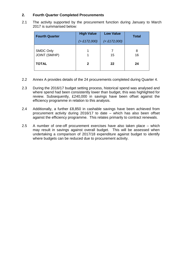### **2. Fourth Quarter Completed Procurements**

2.1 The activity supported by the procurement function during January to March 2017 is summarised below:

| <b>Fourth Quarter</b>                    | <b>High Value</b><br>( > £172,000) | <b>Low Value</b><br>$(E172,000)$ | <b>Total</b> |  |
|------------------------------------------|------------------------------------|----------------------------------|--------------|--|
| <b>SMDC Only</b><br><b>JOINT (SM/HP)</b> |                                    | 15                               | 8<br>16      |  |
| <b>TOTAL</b>                             | 2                                  | 22                               | 24           |  |

- 2.2 Annex A provides details of the 24 procurements completed during Quarter 4.
- 2.3 During the 2016/17 budget setting process, historical spend was analysed and where spend had been consistently lower than budget, this was highlighted for review. Subsequently, £240,000 in savings have been offset against the efficiency programme in relation to this analysis.
- 2.4 Additionally, a further £8,850 in cashable savings have been achieved from procurement activity during 2016/17 to date – which has also been offset against the efficiency programme. This relates primarily to contract renewals.
- 2.5 A number of one-off procurement exercises have also taken place which may result in savings against overall budget. This will be assessed when undertaking a comparison of 2017/18 expenditure against budget to identify where budgets can be reduced due to procurement activity.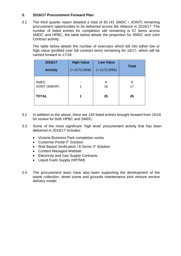### **3. 2016/17 Procurement Forward Plan**

3.1 The third quarter report detailed a total of 83 *(41 SMDC / JOINT)* remaining procurement opportunities to be delivered across the Alliance in 2016/17. The number of listed entries for completion still remaining is 57 items across SMDC and HPBC, the table below details the proportion for SMDC and Joint Contract activity.

The table below details the number of exercises which fall into either low or high value (profiled over full contract term) remaining for 16/17, which will be carried forward to 17/18.

| 2016/17              | <b>High Value</b> | <b>Low Value</b> | <b>Total</b> |  |
|----------------------|-------------------|------------------|--------------|--|
| <b>Activity</b>      | ( > £172,000k)    | $(E172,000k)$    |              |  |
| <b>SMDC</b>          | 1                 | 9                | 9            |  |
| <b>JOINT (SM/HP)</b> |                   | 16               | 17           |  |
| <b>TOTAL</b>         | 1                 | 25               | 26           |  |

- 3.2 In addition to the above, there are 145 listed entries brought forward from 15/16 for review for both HPBC and SMDC.
- 3.3 Some of the more significant 'high level' procurement activity that has been delivered in 2016/17 includes:
	- Victoria Business Park completion works
	- Customer Portal IT Solution
	- Risk Based Verification / E-forms IT Solution
	- Content Managed Website
	- Electricity and Gas Supply Contracts
	- Liquid Fuels Supply (HP/SM)
- 3.4 The procurement team have also been supporting the development of the waste collection, street scene and grounds maintenance joint venture service delivery model.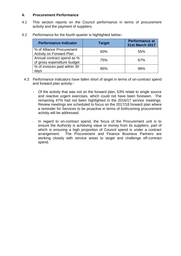#### **4. Procurement Performance**

- 4.1 This section reports on the Council performance in terms of procurement activity and the payment of suppliers.
- 4.2 Performance for the fourth quarter is highlighted below:-

| <b>Performance Indicator</b>                                 | <b>Target</b> | <b>Performance at</b><br><b>31st March 2017</b> |
|--------------------------------------------------------------|---------------|-------------------------------------------------|
| % of Alliance Procurement<br><b>Activity on Forward Plan</b> | 60%           | 55%                                             |
| Annual contract spend as %<br>of gross expenditure budget    | 75%           | 67%                                             |
| % of invoices paid within 30<br>days                         | 95%           | 96%                                             |

- 4.3 Performance Indicators have fallen short of target in terms of on-contract spend and forward plan activity:-
	- Of the activity that was not on the forward plan, 53% relate to single source and reactive urgent exercises, which could not have been foreseen. The remaining 47% had not been highlighted in the 2016/17 service meetings. Review meetings are scheduled to focus on the 2017/18 forward plan where a reminder for Services to be proactive in terms of forthcoming procurement activity will be addressed.
	- In regard to on-contract spend, the focus of the Procurement unit is to ensure the Authority is achieving value or money from its suppliers, part of which is ensuring a high proportion of Council spend is under a contract arrangement. The Procurement and Finance Business Partners are working closely with service areas to target and challenge off-contract spend.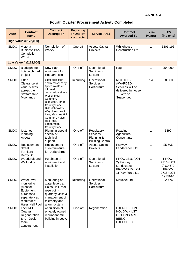## **ANNEX A**

## **Fourth Quarter Procurement Activity Completed**

| <b>Auth</b> | <b>Contract</b><br>name                                                                                             | <b>Contract</b><br><b>Description</b>                                                                                                                                                                                                                                                                      | <b>Recurring</b><br>or One-off<br>contracts | <b>Service Area</b>                                               | <b>Contract</b><br><b>Awarded To</b>                                                              | <b>Term</b><br>(years) | <b>TCV</b><br>(inc exts)                                          |
|-------------|---------------------------------------------------------------------------------------------------------------------|------------------------------------------------------------------------------------------------------------------------------------------------------------------------------------------------------------------------------------------------------------------------------------------------------------|---------------------------------------------|-------------------------------------------------------------------|---------------------------------------------------------------------------------------------------|------------------------|-------------------------------------------------------------------|
|             | <b>High Value (&gt;172,000)</b>                                                                                     |                                                                                                                                                                                                                                                                                                            |                                             |                                                                   |                                                                                                   |                        |                                                                   |
| <b>SMDC</b> | Victoria<br><b>Business Park</b><br>Completion<br>Works                                                             | Completion of<br>Works                                                                                                                                                                                                                                                                                     | One-off                                     | <b>Assets Capital</b><br>Projects                                 | Whitehouse<br><b>Construction Ltd</b>                                                             | 1                      | £201,196                                                          |
|             | Low Value (<£172,000)                                                                                               |                                                                                                                                                                                                                                                                                                            |                                             |                                                                   |                                                                                                   |                        |                                                                   |
| <b>SMDC</b> | <b>Biddulph Moor</b><br>hotscotch park<br>project                                                                   | New play<br>equipment for<br>Hot Lane site                                                                                                                                                                                                                                                                 | One-off                                     | Operational<br>Services -<br>Leisure                              | Hags                                                                                              | 1                      | £54,000                                                           |
| <b>SMDC</b> | Litter<br>Clearance at<br>various sites<br>across the<br>Staffordshire<br>Moorlands                                 | Litter collection<br>and removal of fly<br>tipped waste at<br>informal<br>countryside sites -<br><b>Wetley Moor</b><br>Common,<br><b>Biddulph Grange</b><br>Country Park,<br><b>Biddulph Valley</b><br>Way, Leek brook<br>Line, Marshes Hill<br>Common, Hales<br>Hall Pool,<br>Ladderedge<br>Country Park. | Recurring                                   | Operational<br>Services -<br>Horticulture                         | NOT TO BE<br>AWARDED -<br>Services will be<br>delivered in house<br>- Exercise<br>Suspended       | n/a                    | £8,600                                                            |
| <b>SMDC</b> | Ipstones<br>Planning<br>Appeal                                                                                      | Planning appeal<br>specialist<br>technical<br>support                                                                                                                                                                                                                                                      | One-off                                     | Regulatory<br>Services -<br>Planning &<br><b>Building Control</b> | Reading<br>Agricultural<br>Consultants                                                            | 1                      | £890                                                              |
| <b>SMDC</b> | Replacement<br><b>Street</b><br>Furniture<br>Derby St                                                               | Replacement<br>street furniture<br>for Derby Street                                                                                                                                                                                                                                                        | One-off                                     | <b>Assets Capital</b><br>Projects                                 | Fairway<br>Landscapes Ltd                                                                         | $\mathbf{1}$           | £5,505                                                            |
| <b>SMDC</b> | Woodcroft and<br>Wallbridge                                                                                         | Purchase of<br>equipment and<br>installation                                                                                                                                                                                                                                                               | One-off                                     | Operational<br>Services -<br>Leisure                              | <b>PROC-2716 (LOT</b><br>2) Fairway<br>Landscapes<br><b>PROC-2715 (LOT</b><br>1) Play Force Ltd   | 1                      | PROC-<br>2716 (LOT<br>2) £9,670<br>PROC-<br>2715 (LOT<br>1) £5916 |
| <b>SMDC</b> | Water level<br>monitoring<br>(Monitor<br>Equipment<br>purchased<br>separately as<br>required) at<br>Hales Hall Pool | Monitoring of<br>water levels at<br>Hales Hall Pool<br>reservoir -<br>quarterly visits &<br>management of<br>telemetry and<br>alarm system                                                                                                                                                                 | Recurring                                   | Operational<br>Services -<br>Horticulture                         | Mouchel Ltd                                                                                       | 1                      | £2,476                                                            |
| <b>SMDC</b> | Leek Mill<br>Quarter<br>Regeneration<br>Site - Design<br>team<br>appointment                                        | Acquisition of<br>privately owned<br>redundant mill<br>building in Leek.                                                                                                                                                                                                                                   | One-off                                     | Regeneration                                                      | <b>EXERCISE ON</b><br><b>HOLD WHILST</b><br><b>OPTIONS ARE</b><br><b>BEING</b><br><b>EXPLORED</b> |                        |                                                                   |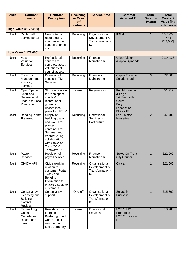| <b>Auth</b> | <b>Contract</b><br>name                                                   | <b>Contract</b><br><b>Description</b>                                                                                                                                       | <b>Recurring</b><br>or One-<br>off | <b>Service Area</b>                                               | <b>Contract</b><br><b>Awarded To</b>                                                                | Term /<br><b>Duration</b><br>(years) | <b>Total</b><br><b>Contract</b><br><b>Value (inc</b> |
|-------------|---------------------------------------------------------------------------|-----------------------------------------------------------------------------------------------------------------------------------------------------------------------------|------------------------------------|-------------------------------------------------------------------|-----------------------------------------------------------------------------------------------------|--------------------------------------|------------------------------------------------------|
|             | <b>High Value (&gt;172,000)</b>                                           |                                                                                                                                                                             | contracts                          |                                                                   |                                                                                                     |                                      | extension)                                           |
| Joint       | Digital self<br>service portal                                            | New potential<br>requirement,<br>mechanism to<br>support channel<br>shift                                                                                                   | Recurring                          | Organisational<br>Development &<br>Transformation -<br><b>ICT</b> | IEG <sub>4</sub>                                                                                    | $\mathbf{1}$                         | £240,000<br>(Yr 1)<br>£63,000)                       |
|             | Low Value (<172,000)                                                      |                                                                                                                                                                             |                                    |                                                                   |                                                                                                     |                                      |                                                      |
| Joint       | Asset<br>Valuation<br><b>Services</b>                                     | Professional<br>services to<br>complete asset<br>valuations of<br>council assets                                                                                            | Recurring                          | Finance -<br>Mainstream                                           | <b>Urban Vision</b><br>(Capita Symonds)                                                             | 3                                    | £114,135                                             |
| Joint       | Treasury<br>Management<br>advisory<br>services                            | Provision of<br>specialist TM<br><b>Services</b>                                                                                                                            | Recurring                          | $Finance -$<br>Mainstream                                         | Capita Treasury<br><b>Solutions Ltd</b>                                                             | $\overline{3}$                       | £72,000                                              |
| Joint       | Open Space<br>Sport and<br>Recreational<br>update to Local<br>Plan report | Study in relation<br>to Open space<br>sports &<br>recreational<br>grounds to<br>update local<br>plans for HP/SM                                                             | One-off                            | Regeneration                                                      | Knight Kavanagh<br>& Page<br>1-2 Frechville<br>Court<br><b>Bury</b><br>Lancashire<br><b>BL9 OUF</b> | $\mathbf{1}$                         | £51,912                                              |
| Joint       | <b>Bedding Plants</b><br>Framework                                        | Supply of<br>bedding plants<br>and plants for<br>planter<br>containers for<br>Summer and<br>Winter/Spring -<br>collaboration<br>with Stoke-on-<br>Trent CC &<br>Tamworth BC | Recurring                          | Operational<br>Services -<br>Horticulture                         | Les Halman<br><b>Nurseries</b>                                                                      | $\overline{2}$                       | £47,482                                              |
| Joint       | Payroll<br><b>Services</b>                                                | Provision of<br>payroll service                                                                                                                                             | Recurring                          | Finance -<br>Mainstream                                           | Stoke-On-Trent<br><b>City Council</b>                                                               | $\mathbf{1}$                         | £22,000                                              |
| Joint       | <b>CIVICA API</b>                                                         | Civica work in<br>relation to<br>customer Portal<br>- Ctax and<br><b>Benefits</b><br>Information to<br>enable display to<br>customers                                       | Recurring                          | Organisational<br>Development &<br>Transformation -<br><b>ICT</b> | Civica                                                                                              | $\mathbf{1}$                         | £21,000                                              |
| Joint       | Consultancy<br>Licensing and<br><b>Building</b><br>Control<br>Reviews     | Consultancy<br>support                                                                                                                                                      | One-off                            | Organisational<br>Development &<br>Transformation -<br><b>ICT</b> | Solace in<br><b>Business</b>                                                                        | $\mathbf{1}$                         | £15,800                                              |
| Joint       | Tarmacking<br>works to<br>Cemeteries<br><b>Buxton and</b><br>Leek         | Resurfacing of<br>footpaths<br>Buxton, ground<br>works to build<br>new path at<br>Leek Cemetery                                                                             | One-off                            | Operational<br><b>Services</b>                                    | LOT 1 MC<br>Properties<br>LOT 2 Horticon<br>Ltd                                                     | $\mathbf{1}$                         | £13,280                                              |